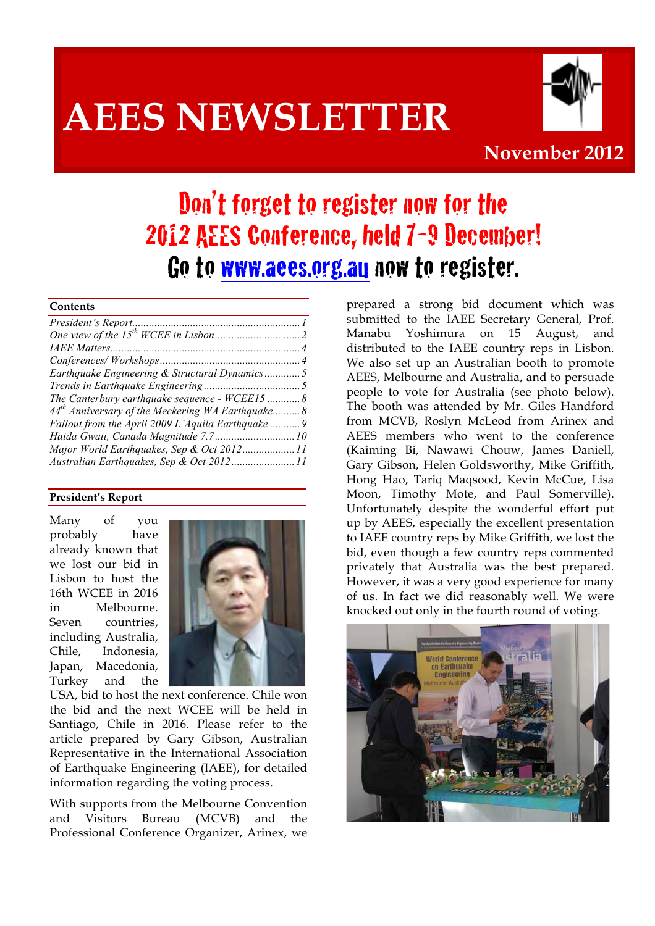# **AEES NEWSLETTER**



### **November 2012**

## Don't forget to register now for the 2012 AEES Conference, held 7-9 December! Go to www.aees.org.au now to register.

#### **Contents**

| Earthquake Engineering & Structural Dynamics5       |  |
|-----------------------------------------------------|--|
|                                                     |  |
| The Canterbury earthquake sequence - WCEE15  8      |  |
| $44th$ Anniversary of the Meckering WA Earthquake 8 |  |
| Fallout from the April 2009 L'Aquila Earthquake  9  |  |
|                                                     |  |
| Major World Earthquakes, Sep & Oct 201211           |  |
| Australian Earthquakes, Sep & Oct 201211            |  |

#### **President's Report**

Many of you probably have already known that we lost our bid in Lisbon to host the 16th WCEE in 2016 in Melbourne. Seven countries, including Australia, Chile, Indonesia, Japan, Macedonia, Turkey and the



USA, bid to host the next conference. Chile won the bid and the next WCEE will be held in Santiago, Chile in 2016. Please refer to the article prepared by Gary Gibson, Australian Representative in the International Association of Earthquake Engineering (IAEE), for detailed information regarding the voting process.

With supports from the Melbourne Convention and Visitors Bureau (MCVB) and the Professional Conference Organizer, Arinex, we

prepared a strong bid document which was submitted to the IAEE Secretary General, Prof. Manabu Yoshimura on 15 August, and distributed to the IAEE country reps in Lisbon. We also set up an Australian booth to promote AEES, Melbourne and Australia, and to persuade people to vote for Australia (see photo below). The booth was attended by Mr. Giles Handford from MCVB, Roslyn McLeod from Arinex and AEES members who went to the conference (Kaiming Bi, Nawawi Chouw, James Daniell, Gary Gibson, Helen Goldsworthy, Mike Griffith, Hong Hao, Tariq Maqsood, Kevin McCue, Lisa Moon, Timothy Mote, and Paul Somerville). Unfortunately despite the wonderful effort put up by AEES, especially the excellent presentation to IAEE country reps by Mike Griffith, we lost the bid, even though a few country reps commented privately that Australia was the best prepared. However, it was a very good experience for many of us. In fact we did reasonably well. We were knocked out only in the fourth round of voting.

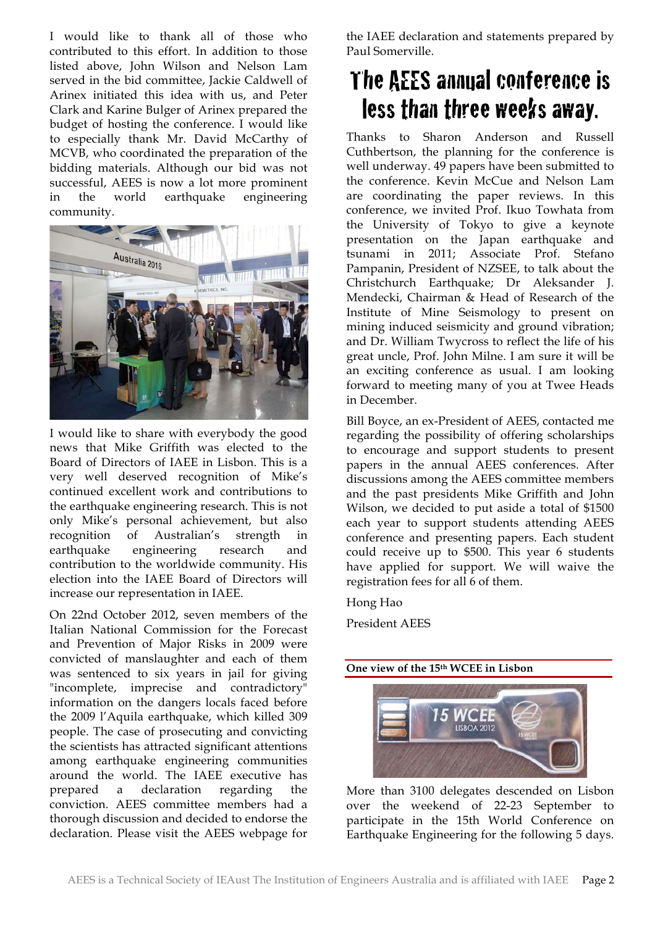I would like to thank all of those who contributed to this effort. In addition to those listed above, John Wilson and Nelson Lam served in the bid committee, Jackie Caldwell of Arinex initiated this idea with us, and Peter Clark and Karine Bulger of Arinex prepared the budget of hosting the conference. I would like to especially thank Mr. David McCarthy of MCVB, who coordinated the preparation of the bidding materials. Although our bid was not successful, AEES is now a lot more prominent in the world earthquake engineering community.



I would like to share with everybody the good news that Mike Griffith was elected to the Board of Directors of IAEE in Lisbon. This is a very well deserved recognition of Mike's continued excellent work and contributions to the earthquake engineering research. This is not only Mike's personal achievement, but also recognition of Australian's strength in earthquake engineering research and contribution to the worldwide community. His election into the IAEE Board of Directors will increase our representation in IAEE.

On 22nd October 2012, seven members of the Italian National Commission for the Forecast and Prevention of Major Risks in 2009 were convicted of manslaughter and each of them was sentenced to six years in jail for giving "incomplete, imprecise and contradictory" information on the dangers locals faced before the 2009 l'Aquila earthquake, which killed 309 people. The case of prosecuting and convicting the scientists has attracted significant attentions among earthquake engineering communities around the world. The IAEE executive has prepared a declaration regarding the conviction. AEES committee members had a thorough discussion and decided to endorse the declaration. Please visit the AEES webpage for

the IAEE declaration and statements prepared by Paul Somerville.

### The AEES annual conference is less than three weeks away.

Thanks to Sharon Anderson and Russell Cuthbertson, the planning for the conference is well underway. 49 papers have been submitted to the conference. Kevin McCue and Nelson Lam are coordinating the paper reviews. In this conference, we invited Prof. Ikuo Towhata from the University of Tokyo to give a keynote presentation on the Japan earthquake and tsunami in 2011; Associate Prof. Stefano Pampanin, President of NZSEE, to talk about the Christchurch Earthquake; Dr Aleksander J. Mendecki, Chairman & Head of Research of the Institute of Mine Seismology to present on mining induced seismicity and ground vibration; and Dr. William Twycross to reflect the life of his great uncle, Prof. John Milne. I am sure it will be an exciting conference as usual. I am looking forward to meeting many of you at Twee Heads in December.

Bill Boyce, an ex-President of AEES, contacted me regarding the possibility of offering scholarships to encourage and support students to present papers in the annual AEES conferences. After discussions among the AEES committee members and the past presidents Mike Griffith and John Wilson, we decided to put aside a total of \$1500 each year to support students attending AEES conference and presenting papers. Each student could receive up to \$500. This year 6 students have applied for support. We will waive the registration fees for all 6 of them.

Hong Hao

President AEES





More than 3100 delegates descended on Lisbon over the weekend of 22-23 September to participate in the 15th World Conference on Earthquake Engineering for the following 5 days.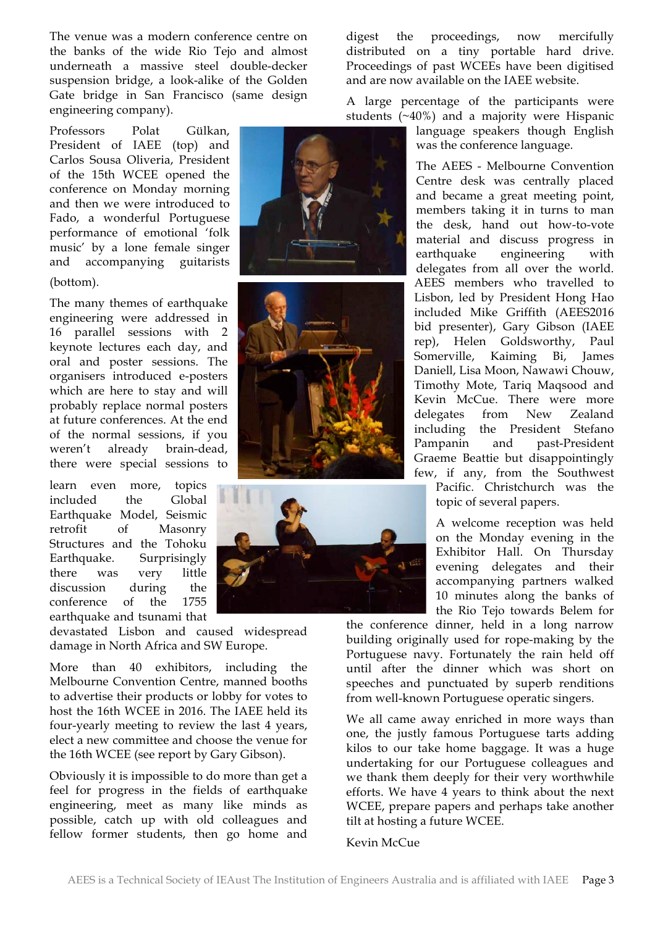The venue was a modern conference centre on the banks of the wide Rio Tejo and almost underneath a massive steel double-decker suspension bridge, a look-alike of the Golden Gate bridge in San Francisco (same design engineering company).

Professors Polat Gülkan, President of IAEE (top) and Carlos Sousa Oliveria, President of the 15th WCEE opened the conference on Monday morning and then we were introduced to Fado, a wonderful Portuguese performance of emotional 'folk music' by a lone female singer and accompanying guitarists (bottom).

The many themes of earthquake engineering were addressed in 16 parallel sessions with 2 keynote lectures each day, and oral and poster sessions. The organisers introduced e-posters which are here to stay and will probably replace normal posters at future conferences. At the end of the normal sessions, if you weren't already brain-dead, there were special sessions to

learn even more, topics included the Global Earthquake Model, Seismic retrofit of Masonry Structures and the Tohoku Earthquake. Surprisingly there was very little discussion during the conference of the 1755 earthquake and tsunami that

devastated Lisbon and caused widespread damage in North Africa and SW Europe.

More than 40 exhibitors, including the Melbourne Convention Centre, manned booths to advertise their products or lobby for votes to host the 16th WCEE in 2016. The IAEE held its four-yearly meeting to review the last 4 years, elect a new committee and choose the venue for the 16th WCEE (see report by Gary Gibson).

Obviously it is impossible to do more than get a feel for progress in the fields of earthquake engineering, meet as many like minds as possible, catch up with old colleagues and fellow former students, then go home and digest the proceedings, now mercifully distributed on a tiny portable hard drive. Proceedings of past WCEEs have been digitised and are now available on the IAEE website.

A large percentage of the participants were students (~40%) and a majority were Hispanic

language speakers though English was the conference language.

The AEES - Melbourne Convention Centre desk was centrally placed and became a great meeting point, members taking it in turns to man the desk, hand out how-to-vote material and discuss progress in earthquake engineering with delegates from all over the world. AEES members who travelled to Lisbon, led by President Hong Hao included Mike Griffith (AEES2016 bid presenter), Gary Gibson (IAEE rep), Helen Goldsworthy, Paul Somerville, Kaiming Bi, James Daniell, Lisa Moon, Nawawi Chouw, Timothy Mote, Tariq Maqsood and Kevin McCue. There were more delegates from New Zealand including the President Stefano Pampanin and past-President Graeme Beattie but disappointingly few, if any, from the Southwest

Pacific. Christchurch was the topic of several papers.

A welcome reception was held on the Monday evening in the Exhibitor Hall. On Thursday evening delegates and their accompanying partners walked 10 minutes along the banks of the Rio Tejo towards Belem for

the conference dinner, held in a long narrow building originally used for rope-making by the Portuguese navy. Fortunately the rain held off until after the dinner which was short on speeches and punctuated by superb renditions from well-known Portuguese operatic singers.

We all came away enriched in more ways than one, the justly famous Portuguese tarts adding kilos to our take home baggage. It was a huge undertaking for our Portuguese colleagues and we thank them deeply for their very worthwhile efforts. We have 4 years to think about the next WCEE, prepare papers and perhaps take another tilt at hosting a future WCEE.

#### Kevin McCue





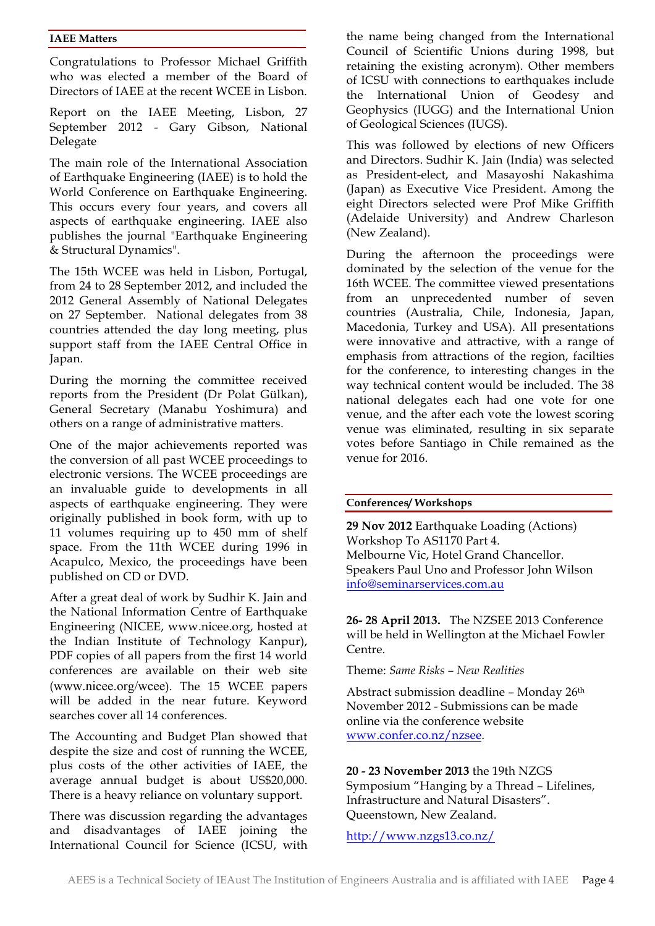#### **IAEE Matters**

Congratulations to Professor Michael Griffith who was elected a member of the Board of Directors of IAEE at the recent WCEE in Lisbon.

Report on the IAEE Meeting, Lisbon, 27 September 2012 - Gary Gibson, National Delegate

The main role of the International Association of Earthquake Engineering (IAEE) is to hold the World Conference on Earthquake Engineering. This occurs every four years, and covers all aspects of earthquake engineering. IAEE also publishes the journal "Earthquake Engineering & Structural Dynamics".

The 15th WCEE was held in Lisbon, Portugal, from 24 to 28 September 2012, and included the 2012 General Assembly of National Delegates on 27 September. National delegates from 38 countries attended the day long meeting, plus support staff from the IAEE Central Office in Japan.

During the morning the committee received reports from the President (Dr Polat Gülkan), General Secretary (Manabu Yoshimura) and others on a range of administrative matters.

One of the major achievements reported was the conversion of all past WCEE proceedings to electronic versions. The WCEE proceedings are an invaluable guide to developments in all aspects of earthquake engineering. They were originally published in book form, with up to 11 volumes requiring up to 450 mm of shelf space. From the 11th WCEE during 1996 in Acapulco, Mexico, the proceedings have been published on CD or DVD.

After a great deal of work by Sudhir K. Jain and the National Information Centre of Earthquake Engineering (NICEE, www.nicee.org, hosted at the Indian Institute of Technology Kanpur), PDF copies of all papers from the first 14 world conferences are available on their web site (www.nicee.org/wcee). The 15 WCEE papers will be added in the near future. Keyword searches cover all 14 conferences.

The Accounting and Budget Plan showed that despite the size and cost of running the WCEE, plus costs of the other activities of IAEE, the average annual budget is about US\$20,000. There is a heavy reliance on voluntary support.

There was discussion regarding the advantages and disadvantages of IAEE joining the International Council for Science (ICSU, with the name being changed from the International Council of Scientific Unions during 1998, but retaining the existing acronym). Other members of ICSU with connections to earthquakes include the International Union of Geodesy and Geophysics (IUGG) and the International Union of Geological Sciences (IUGS).

This was followed by elections of new Officers and Directors. Sudhir K. Jain (India) was selected as President-elect, and Masayoshi Nakashima (Japan) as Executive Vice President. Among the eight Directors selected were Prof Mike Griffith (Adelaide University) and Andrew Charleson (New Zealand).

During the afternoon the proceedings were dominated by the selection of the venue for the 16th WCEE. The committee viewed presentations from an unprecedented number of seven countries (Australia, Chile, Indonesia, Japan, Macedonia, Turkey and USA). All presentations were innovative and attractive, with a range of emphasis from attractions of the region, facilties for the conference, to interesting changes in the way technical content would be included. The 38 national delegates each had one vote for one venue, and the after each vote the lowest scoring venue was eliminated, resulting in six separate votes before Santiago in Chile remained as the venue for 2016.

#### **Conferences/ Workshops**

**29 Nov 2012** Earthquake Loading (Actions) Workshop To AS1170 Part 4. Melbourne Vic, Hotel Grand Chancellor. Speakers Paul Uno and Professor John Wilson info@seminarservices.com.au

**26- 28 April 2013.** The NZSEE 2013 Conference will be held in Wellington at the Michael Fowler Centre.

Theme: *Same Risks – New Realities*

Abstract submission deadline – Monday 26th November 2012 - Submissions can be made online via the conference website www.confer.co.nz/nzsee.

#### **20 - 23 November 2013** the 19th NZGS Symposium "Hanging by a Thread – Lifelines, Infrastructure and Natural Disasters". Queenstown, New Zealand.

http://www.nzgs13.co.nz/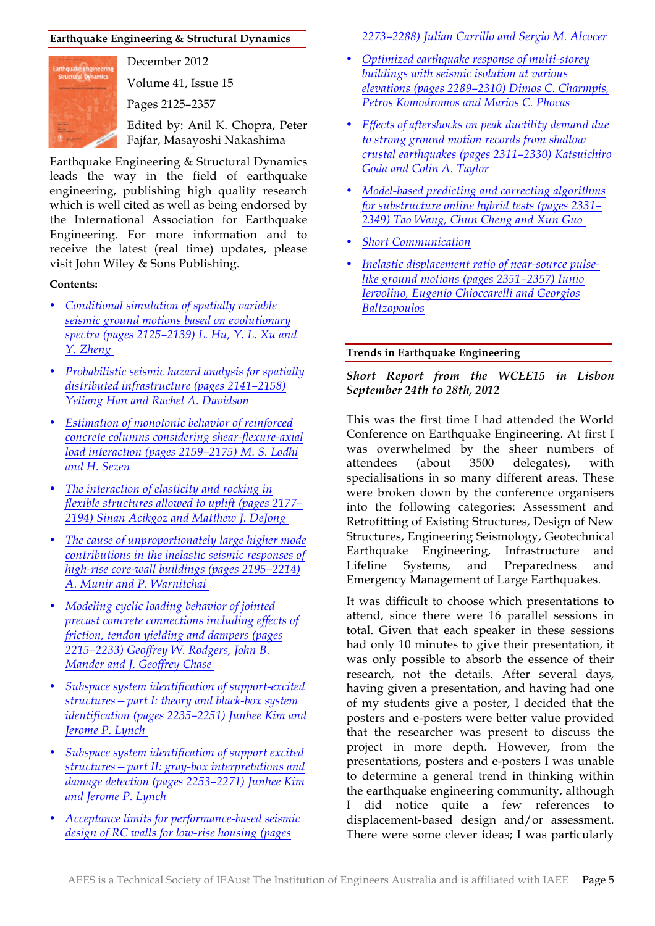#### **Earthquake Engineering & Structural Dynamics**



December 2012

Volume 41, Issue 15

Pages 2125–2357

Edited by: Anil K. Chopra, Peter Fajfar, Masayoshi Nakashima

Earthquake Engineering & Structural Dynamics leads the way in the field of earthquake engineering, publishing high quality research which is well cited as well as being endorsed by the International Association for Earthquake Engineering. For more information and to receive the latest (real time) updates, please visit John Wiley & Sons Publishing.

#### **Contents:**

- *Conditional simulation of spatially variable seismic ground motions based on evolutionary spectra (pages 2125–2139) L. Hu, Y. L. Xu and Y. Zheng*
- *Probabilistic seismic hazard analysis for spatially distributed infrastructure (pages 2141–2158) Yeliang Han and Rachel A. Davidson*
- *Estimation of monotonic behavior of reinforced concrete columns considering shear-flexure-axial load interaction (pages 2159–2175) M. S. Lodhi and H. Sezen*
- *The interaction of elasticity and rocking in flexible structures allowed to uplift (pages 2177– 2194) Sinan Acikgoz and Matthew J. DeJong*
- *The cause of unproportionately large higher mode contributions in the inelastic seismic responses of high-rise core-wall buildings (pages 2195–2214) A. Munir and P. Warnitchai*
- *Modeling cyclic loading behavior of jointed precast concrete connections including effects of friction, tendon yielding and dampers (pages 2215–2233) Geoffrey W. Rodgers, John B. Mander and J. Geoffrey Chase*
- *Subspace system identification of support-excited structures—part I: theory and black-box system identification (pages 2235–2251) Junhee Kim and Jerome P. Lynch*
- *Subspace system identification of support excited structures—part II: gray-box interpretations and damage detection (pages 2253–2271) Junhee Kim and Jerome P. Lynch*
- *Acceptance limits for performance-based seismic design of RC walls for low-rise housing (pages*

*2273–2288) Julian Carrillo and Sergio M. Alcocer* 

- *Optimized earthquake response of multi-storey buildings with seismic isolation at various elevations (pages 2289–2310) Dimos C. Charmpis, Petros Komodromos and Marios C. Phocas*
- *Effects of aftershocks on peak ductility demand due to strong ground motion records from shallow crustal earthquakes (pages 2311–2330) Katsuichiro Goda and Colin A. Taylor*
- *Model-based predicting and correcting algorithms for substructure online hybrid tests (pages 2331– 2349) Tao Wang, Chun Cheng and Xun Guo*
- *Short Communication*
- *Inelastic displacement ratio of near-source pulselike ground motions (pages 2351–2357) Iunio Iervolino, Eugenio Chioccarelli and Georgios Baltzopoulos*

#### **Trends in Earthquake Engineering**

#### *Short Report from the WCEE15 in Lisbon September 24th to 28th, 2012*

This was the first time I had attended the World Conference on Earthquake Engineering. At first I was overwhelmed by the sheer numbers of attendees (about 3500 delegates), with specialisations in so many different areas. These were broken down by the conference organisers into the following categories: Assessment and Retrofitting of Existing Structures, Design of New Structures, Engineering Seismology, Geotechnical Earthquake Engineering, Infrastructure and Lifeline Systems, and Preparedness and Emergency Management of Large Earthquakes.

It was difficult to choose which presentations to attend, since there were 16 parallel sessions in total. Given that each speaker in these sessions had only 10 minutes to give their presentation, it was only possible to absorb the essence of their research, not the details. After several days, having given a presentation, and having had one of my students give a poster, I decided that the posters and e-posters were better value provided that the researcher was present to discuss the project in more depth. However, from the presentations, posters and e-posters I was unable to determine a general trend in thinking within the earthquake engineering community, although I did notice quite a few references to displacement-based design and/or assessment. There were some clever ideas; I was particularly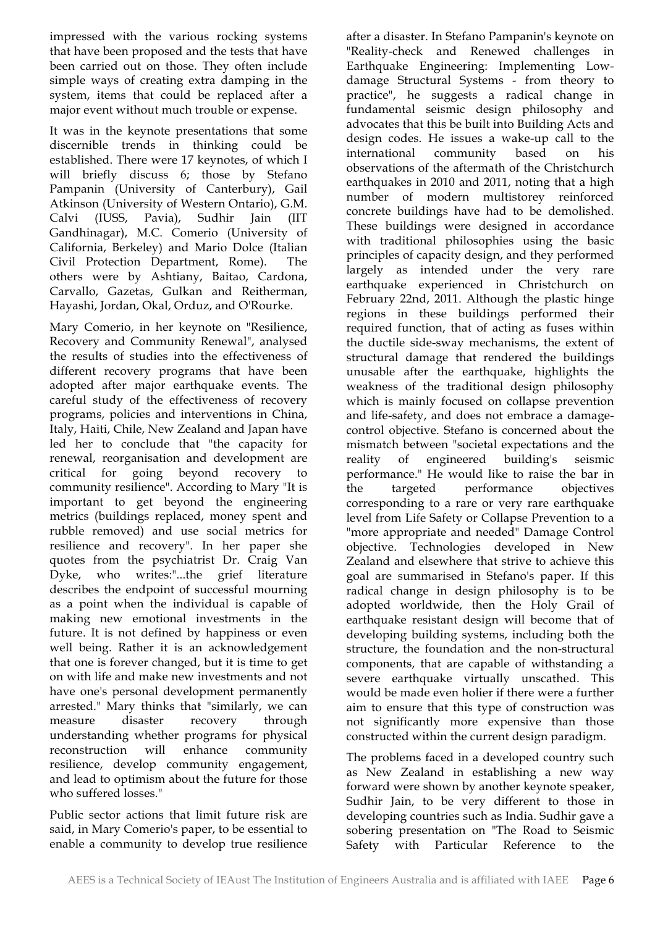impressed with the various rocking systems that have been proposed and the tests that have been carried out on those. They often include simple ways of creating extra damping in the system, items that could be replaced after a major event without much trouble or expense.

It was in the keynote presentations that some discernible trends in thinking could be established. There were 17 keynotes, of which I will briefly discuss 6; those by Stefano Pampanin (University of Canterbury), Gail Atkinson (University of Western Ontario), G.M. Calvi (IUSS, Pavia), Sudhir Jain (IIT Gandhinagar), M.C. Comerio (University of California, Berkeley) and Mario Dolce (Italian Civil Protection Department, Rome). The others were by Ashtiany, Baitao, Cardona, Carvallo, Gazetas, Gulkan and Reitherman, Hayashi, Jordan, Okal, Orduz, and O'Rourke.

Mary Comerio, in her keynote on "Resilience, Recovery and Community Renewal", analysed the results of studies into the effectiveness of different recovery programs that have been adopted after major earthquake events. The careful study of the effectiveness of recovery programs, policies and interventions in China, Italy, Haiti, Chile, New Zealand and Japan have led her to conclude that "the capacity for renewal, reorganisation and development are critical for going beyond recovery to community resilience". According to Mary "It is important to get beyond the engineering metrics (buildings replaced, money spent and rubble removed) and use social metrics for resilience and recovery". In her paper she quotes from the psychiatrist Dr. Craig Van Dyke, who writes:"...the grief literature describes the endpoint of successful mourning as a point when the individual is capable of making new emotional investments in the future. It is not defined by happiness or even well being. Rather it is an acknowledgement that one is forever changed, but it is time to get on with life and make new investments and not have one's personal development permanently arrested." Mary thinks that "similarly, we can measure disaster recovery through understanding whether programs for physical reconstruction will enhance community resilience, develop community engagement, and lead to optimism about the future for those who suffered losses."

Public sector actions that limit future risk are said, in Mary Comerio's paper, to be essential to enable a community to develop true resilience

after a disaster. In Stefano Pampanin's keynote on "Reality-check and Renewed challenges in Earthquake Engineering: Implementing Lowdamage Structural Systems - from theory to practice", he suggests a radical change in fundamental seismic design philosophy and advocates that this be built into Building Acts and design codes. He issues a wake-up call to the international community based on his observations of the aftermath of the Christchurch earthquakes in 2010 and 2011, noting that a high number of modern multistorey reinforced concrete buildings have had to be demolished. These buildings were designed in accordance with traditional philosophies using the basic principles of capacity design, and they performed largely as intended under the very rare earthquake experienced in Christchurch on February 22nd, 2011. Although the plastic hinge regions in these buildings performed their required function, that of acting as fuses within the ductile side-sway mechanisms, the extent of structural damage that rendered the buildings unusable after the earthquake, highlights the weakness of the traditional design philosophy which is mainly focused on collapse prevention and life-safety, and does not embrace a damagecontrol objective. Stefano is concerned about the mismatch between "societal expectations and the reality of engineered building's seismic performance." He would like to raise the bar in the targeted performance objectives corresponding to a rare or very rare earthquake level from Life Safety or Collapse Prevention to a "more appropriate and needed" Damage Control objective. Technologies developed in New Zealand and elsewhere that strive to achieve this goal are summarised in Stefano's paper. If this radical change in design philosophy is to be adopted worldwide, then the Holy Grail of earthquake resistant design will become that of developing building systems, including both the structure, the foundation and the non-structural components, that are capable of withstanding a severe earthquake virtually unscathed. This would be made even holier if there were a further aim to ensure that this type of construction was not significantly more expensive than those constructed within the current design paradigm.

The problems faced in a developed country such as New Zealand in establishing a new way forward were shown by another keynote speaker, Sudhir Jain, to be very different to those in developing countries such as India. Sudhir gave a sobering presentation on "The Road to Seismic Safety with Particular Reference to the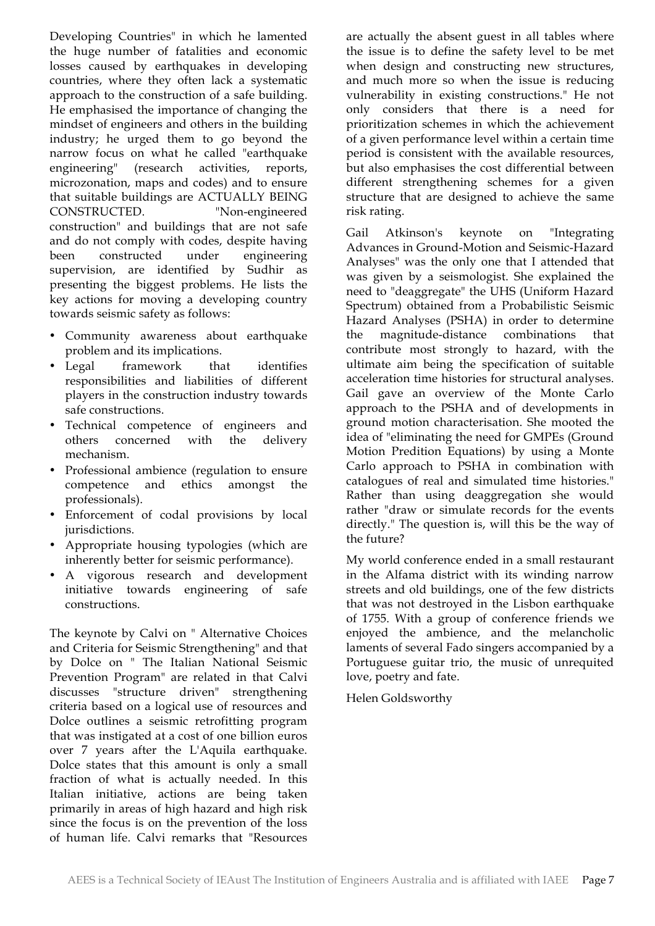Developing Countries" in which he lamented the huge number of fatalities and economic losses caused by earthquakes in developing countries, where they often lack a systematic approach to the construction of a safe building. He emphasised the importance of changing the mindset of engineers and others in the building industry; he urged them to go beyond the narrow focus on what he called "earthquake engineering" (research activities, reports, microzonation, maps and codes) and to ensure that suitable buildings are ACTUALLY BEING CONSTRUCTED. "Non-engineered construction" and buildings that are not safe and do not comply with codes, despite having been constructed under engineering supervision, are identified by Sudhir as presenting the biggest problems. He lists the key actions for moving a developing country towards seismic safety as follows:

- Community awareness about earthquake problem and its implications.
- Legal framework that identifies responsibilities and liabilities of different players in the construction industry towards safe constructions.
- Technical competence of engineers and concerned with the mechanism.
- Professional ambience (regulation to ensure competence and ethics amongst the professionals).
- Enforcement of codal provisions by local jurisdictions.
- Appropriate housing typologies (which are inherently better for seismic performance).
- A vigorous research and development initiative towards engineering of safe constructions.

The keynote by Calvi on " Alternative Choices and Criteria for Seismic Strengthening" and that by Dolce on " The Italian National Seismic Prevention Program" are related in that Calvi discusses "structure driven" strengthening criteria based on a logical use of resources and Dolce outlines a seismic retrofitting program that was instigated at a cost of one billion euros over 7 years after the L'Aquila earthquake. Dolce states that this amount is only a small fraction of what is actually needed. In this Italian initiative, actions are being taken primarily in areas of high hazard and high risk since the focus is on the prevention of the loss of human life. Calvi remarks that "Resources

are actually the absent guest in all tables where the issue is to define the safety level to be met when design and constructing new structures, and much more so when the issue is reducing vulnerability in existing constructions." He not only considers that there is a need for prioritization schemes in which the achievement of a given performance level within a certain time period is consistent with the available resources, but also emphasises the cost differential between different strengthening schemes for a given structure that are designed to achieve the same risk rating.

Gail Atkinson's keynote on "Integrating Advances in Ground-Motion and Seismic-Hazard Analyses" was the only one that I attended that was given by a seismologist. She explained the need to "deaggregate" the UHS (Uniform Hazard Spectrum) obtained from a Probabilistic Seismic Hazard Analyses (PSHA) in order to determine the magnitude-distance combinations that contribute most strongly to hazard, with the ultimate aim being the specification of suitable acceleration time histories for structural analyses. Gail gave an overview of the Monte Carlo approach to the PSHA and of developments in ground motion characterisation. She mooted the idea of "eliminating the need for GMPEs (Ground Motion Predition Equations) by using a Monte Carlo approach to PSHA in combination with catalogues of real and simulated time histories." Rather than using deaggregation she would rather "draw or simulate records for the events directly." The question is, will this be the way of the future?

My world conference ended in a small restaurant in the Alfama district with its winding narrow streets and old buildings, one of the few districts that was not destroyed in the Lisbon earthquake of 1755. With a group of conference friends we enjoyed the ambience, and the melancholic laments of several Fado singers accompanied by a Portuguese guitar trio, the music of unrequited love, poetry and fate.

Helen Goldsworthy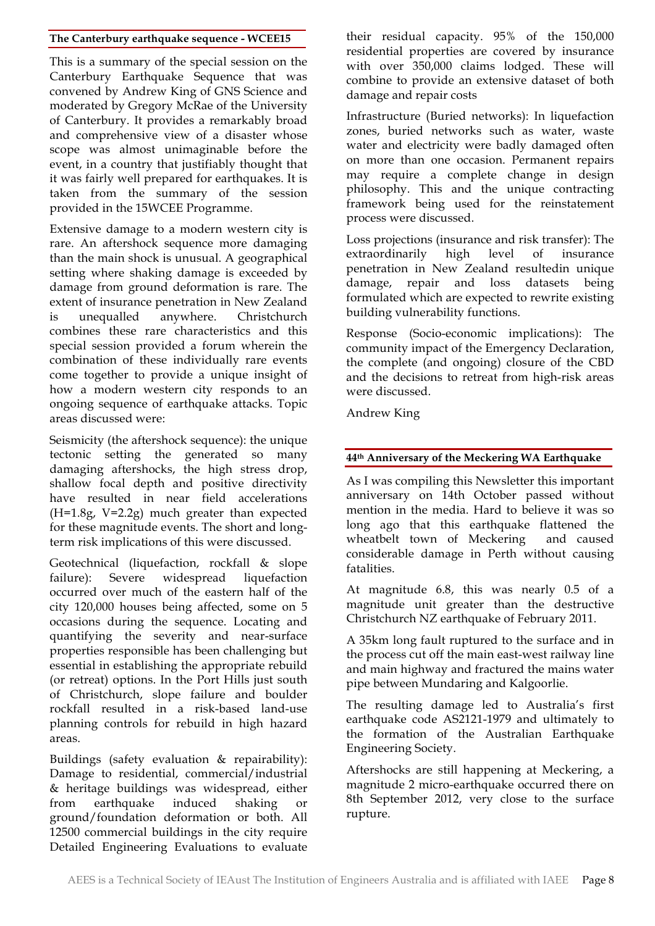#### **The Canterbury earthquake sequence - WCEE15**

This is a summary of the special session on the Canterbury Earthquake Sequence that was convened by Andrew King of GNS Science and moderated by Gregory McRae of the University of Canterbury. It provides a remarkably broad and comprehensive view of a disaster whose scope was almost unimaginable before the event, in a country that justifiably thought that it was fairly well prepared for earthquakes. It is taken from the summary of the session provided in the 15WCEE Programme.

Extensive damage to a modern western city is rare. An aftershock sequence more damaging than the main shock is unusual. A geographical setting where shaking damage is exceeded by damage from ground deformation is rare. The extent of insurance penetration in New Zealand is unequalled anywhere. Christchurch combines these rare characteristics and this special session provided a forum wherein the combination of these individually rare events come together to provide a unique insight of how a modern western city responds to an ongoing sequence of earthquake attacks. Topic areas discussed were:

Seismicity (the aftershock sequence): the unique tectonic setting the generated so many damaging aftershocks, the high stress drop, shallow focal depth and positive directivity have resulted in near field accelerations  $(H=1.8g, V=2.2g)$  much greater than expected for these magnitude events. The short and longterm risk implications of this were discussed.

Geotechnical (liquefaction, rockfall & slope failure): Severe widespread liquefaction occurred over much of the eastern half of the city 120,000 houses being affected, some on 5 occasions during the sequence. Locating and quantifying the severity and near-surface properties responsible has been challenging but essential in establishing the appropriate rebuild (or retreat) options. In the Port Hills just south of Christchurch, slope failure and boulder rockfall resulted in a risk-based land-use planning controls for rebuild in high hazard areas.

Buildings (safety evaluation & repairability): Damage to residential, commercial/industrial & heritage buildings was widespread, either from earthquake induced shaking or ground/foundation deformation or both. All 12500 commercial buildings in the city require Detailed Engineering Evaluations to evaluate their residual capacity. 95% of the 150,000 residential properties are covered by insurance with over 350,000 claims lodged. These will combine to provide an extensive dataset of both damage and repair costs

Infrastructure (Buried networks): In liquefaction zones, buried networks such as water, waste water and electricity were badly damaged often on more than one occasion. Permanent repairs may require a complete change in design philosophy. This and the unique contracting framework being used for the reinstatement process were discussed.

Loss projections (insurance and risk transfer): The extraordinarily high level of insurance penetration in New Zealand resultedin unique damage, repair and loss datasets being formulated which are expected to rewrite existing building vulnerability functions.

Response (Socio-economic implications): The community impact of the Emergency Declaration, the complete (and ongoing) closure of the CBD and the decisions to retreat from high-risk areas were discussed.

Andrew King

#### **44th Anniversary of the Meckering WA Earthquake**

As I was compiling this Newsletter this important anniversary on 14th October passed without mention in the media. Hard to believe it was so long ago that this earthquake flattened the wheatbelt town of Meckering and caused considerable damage in Perth without causing fatalities.

At magnitude 6.8, this was nearly 0.5 of a magnitude unit greater than the destructive Christchurch NZ earthquake of February 2011.

A 35km long fault ruptured to the surface and in the process cut off the main east-west railway line and main highway and fractured the mains water pipe between Mundaring and Kalgoorlie.

The resulting damage led to Australia's first earthquake code AS2121-1979 and ultimately to the formation of the Australian Earthquake Engineering Society.

Aftershocks are still happening at Meckering, a magnitude 2 micro-earthquake occurred there on 8th September 2012, very close to the surface rupture.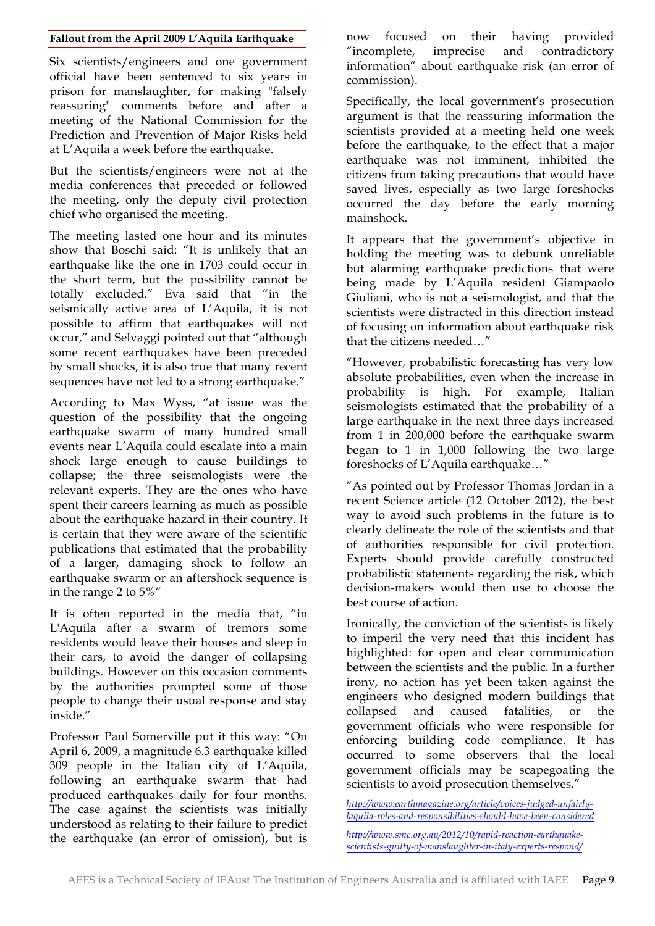#### **Fallout from the April 2009 L'Aquila Earthquake**

Six scientists/engineers and one government official have been sentenced to six years in prison for manslaughter, for making "falsely reassuring" comments before and after a meeting of the National Commission for the Prediction and Prevention of Major Risks held at L'Aquila a week before the earthquake.

But the scientists/engineers were not at the media conferences that preceded or followed the meeting, only the deputy civil protection chief who organised the meeting.

The meeting lasted one hour and its minutes show that Boschi said: "It is unlikely that an earthquake like the one in 1703 could occur in the short term, but the possibility cannot be totally excluded." Eva said that "in the seismically active area of L'Aquila, it is not possible to affirm that earthquakes will not occur," and Selvaggi pointed out that "although some recent earthquakes have been preceded by small shocks, it is also true that many recent sequences have not led to a strong earthquake."

According to Max Wyss, "at issue was the question of the possibility that the ongoing earthquake swarm of many hundred small events near L'Aquila could escalate into a main shock large enough to cause buildings to collapse; the three seismologists were the relevant experts. They are the ones who have spent their careers learning as much as possible about the earthquake hazard in their country. It is certain that they were aware of the scientific publications that estimated that the probability of a larger, damaging shock to follow an earthquake swarm or an aftershock sequence is in the range 2 to 5%"

It is often reported in the media that, "in L'Aquila after a swarm of tremors some residents would leave their houses and sleep in their cars, to avoid the danger of collapsing buildings. However on this occasion comments by the authorities prompted some of those people to change their usual response and stay inside."

Professor Paul Somerville put it this way: "On April 6, 2009, a magnitude 6.3 earthquake killed 309 people in the Italian city of L'Aquila, following an earthquake swarm that had produced earthquakes daily for four months. The case against the scientists was initially understood as relating to their failure to predict the earthquake (an error of omission), but is now focused on their having provided "incomplete, imprecise and contradictory information" about earthquake risk (an error of commission).

Specifically, the local government's prosecution argument is that the reassuring information the scientists provided at a meeting held one week before the earthquake, to the effect that a major earthquake was not imminent, inhibited the citizens from taking precautions that would have saved lives, especially as two large foreshocks occurred the day before the early morning mainshock.

It appears that the government's objective in holding the meeting was to debunk unreliable but alarming earthquake predictions that were being made by L'Aquila resident Giampaolo Giuliani, who is not a seismologist, and that the scientists were distracted in this direction instead of focusing on information about earthquake risk that the citizens needed…"

"However, probabilistic forecasting has very low absolute probabilities, even when the increase in probability is high. For example, Italian seismologists estimated that the probability of a large earthquake in the next three days increased from 1 in 200,000 before the earthquake swarm began to 1 in 1,000 following the two large foreshocks of L'Aquila earthquake…"

"As pointed out by Professor Thomas Jordan in a recent Science article (12 October 2012), the best way to avoid such problems in the future is to clearly delineate the role of the scientists and that of authorities responsible for civil protection. Experts should provide carefully constructed probabilistic statements regarding the risk, which decision-makers would then use to choose the best course of action.

Ironically, the conviction of the scientists is likely to imperil the very need that this incident has highlighted: for open and clear communication between the scientists and the public. In a further irony, no action has yet been taken against the engineers who designed modern buildings that collapsed and caused fatalities, or the government officials who were responsible for enforcing building code compliance. It has occurred to some observers that the local government officials may be scapegoating the scientists to avoid prosecution themselves."

*http://www.earthmagazine.org/article/voices-judged-unfairlylaquila-roles-and-responsibilities-should-have-been-considered*

*http://www.smc.org.au/2012/10/rapid-reaction-earthquakescientists-guilty-of-manslaughter-in-italy-experts-respond/*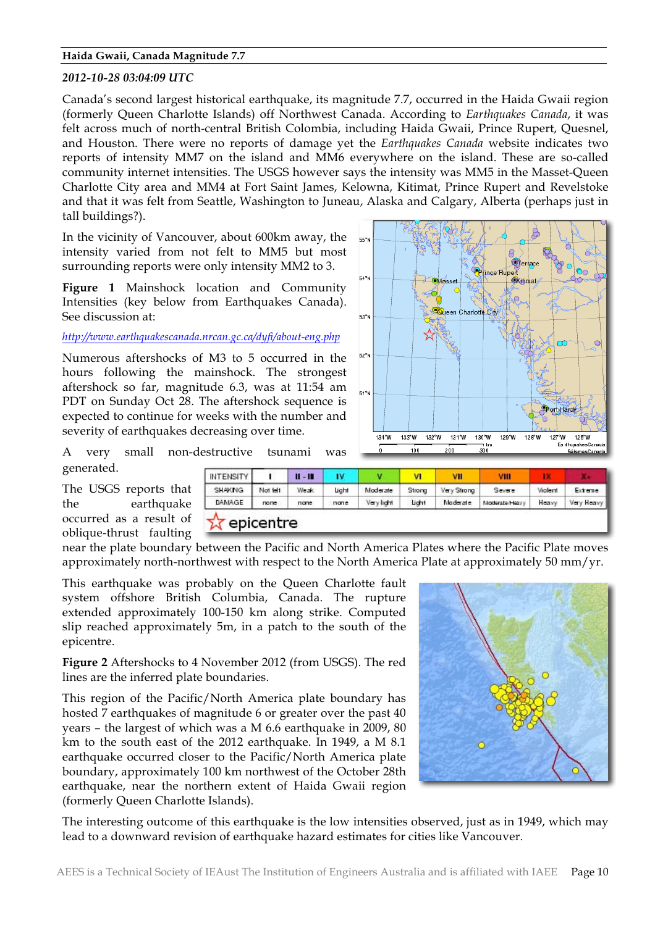#### **Haida Gwaii, Canada Magnitude 7.7**

#### *2012-10-28 03:04:09 UTC*

Canada's second largest historical earthquake, its magnitude 7.7, occurred in the Haida Gwaii region (formerly Queen Charlotte Islands) off Northwest Canada. According to *Earthquakes Canada*, it was felt across much of north-central British Colombia, including Haida Gwaii, Prince Rupert, Quesnel, and Houston. There were no reports of damage yet the *Earthquakes Canada* website indicates two reports of intensity MM7 on the island and MM6 everywhere on the island. These are so-called community internet intensities. The USGS however says the intensity was MM5 in the Masset-Queen Charlotte City area and MM4 at Fort Saint James, Kelowna, Kitimat, Prince Rupert and Revelstoke and that it was felt from Seattle, Washington to Juneau, Alaska and Calgary, Alberta (perhaps just in tall buildings?).

In the vicinity of Vancouver, about 600km away, the intensity varied from not felt to MM5 but most surrounding reports were only intensity MM2 to 3.

**Figure 1** Mainshock location and Community Intensities (key below from Earthquakes Canada). See discussion at:

#### *http://www.earthquakescanada.nrcan.gc.ca/dyfi/about-eng.php*

Numerous aftershocks of M3 to 5 occurred in the hours following the mainshock. The strongest aftershock so far, magnitude 6.3, was at 11:54 am PDT on Sunday Oct 28. The aftershock sequence is expected to continue for weeks with the number and severity of earthquakes decreasing over time.



A very small non-destructive tsunami was generated.

The USGS reports that the earthquake occurred as a result of oblique-thrust faulting

| <b>INTENSITY</b> |          | $II - II$ | I٧    | v          | ٧I     | ۷II         | VIII           | ш       |            |
|------------------|----------|-----------|-------|------------|--------|-------------|----------------|---------|------------|
| <b>SHAKNG</b>    | Not left | Weak      | Light | Moderate   | Strong | Very Strong | Severe         | Violent | Extreme.   |
| DAMAGE           | none     | none      | none  | Very light | Light  | Moderate    | Moderate Heavy | Heavy   | Very Heavy |

near the plate boundary between the Pacific and North America Plates where the Pacific Plate moves approximately north-northwest with respect to the North America Plate at approximately 50 mm/yr.

This earthquake was probably on the Queen Charlotte fault system offshore British Columbia, Canada. The rupture extended approximately 100-150 km along strike. Computed slip reached approximately 5m, in a patch to the south of the epicentre.

**Figure 2** Aftershocks to 4 November 2012 (from USGS). The red lines are the inferred plate boundaries.

This region of the Pacific/North America plate boundary has hosted 7 earthquakes of magnitude 6 or greater over the past 40 years – the largest of which was a M 6.6 earthquake in 2009, 80 km to the south east of the 2012 earthquake. In 1949, a M 8.1 earthquake occurred closer to the Pacific/North America plate boundary, approximately 100 km northwest of the October 28th earthquake, near the northern extent of Haida Gwaii region (formerly Queen Charlotte Islands).



The interesting outcome of this earthquake is the low intensities observed, just as in 1949, which may lead to a downward revision of earthquake hazard estimates for cities like Vancouver.